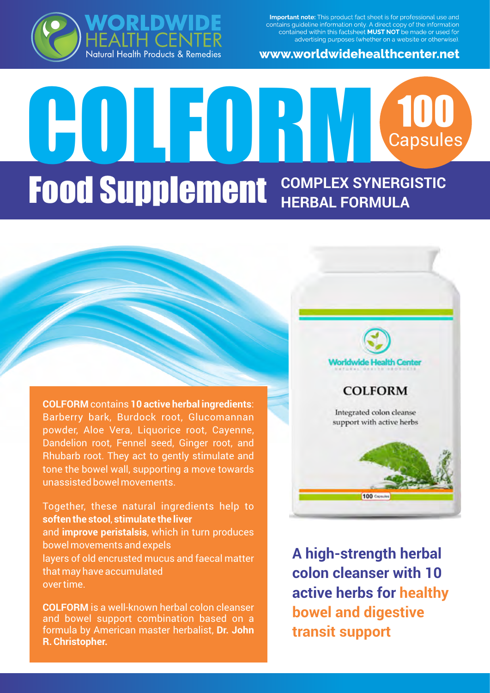

www.worldwidehealthcenter.net



# COLFU Capsules **Food Supplement** COMPLEX SYNERGISTIC **HERBAL FORMULA**

**COLFORM** contains **10 active herbal ingredients**: Barberry bark, Burdock root, Glucomannan powder, Aloe Vera, Liquorice root, Cayenne, Dandelion root, Fennel seed, Ginger root, and Rhubarb root. They act to gently stimulate and tone the bowel wall, supporting a move towards unassisted bowel movements.

Together, these natural ingredients help to **soften the stool**, **stimulate the liver** and **improve peristalsis**, which in turn produces bowel movements and expels layers of old encrusted mucus and faecal matter that may have accumulated over time.

**COLFORM** is a well-known herbal colon cleanser and bowel support combination based on a formula by American master herbalist, **Dr. John R. Christopher.**



**A high-strength herbal colon cleanser with 10 active herbs for healthy bowel and digestive transit support**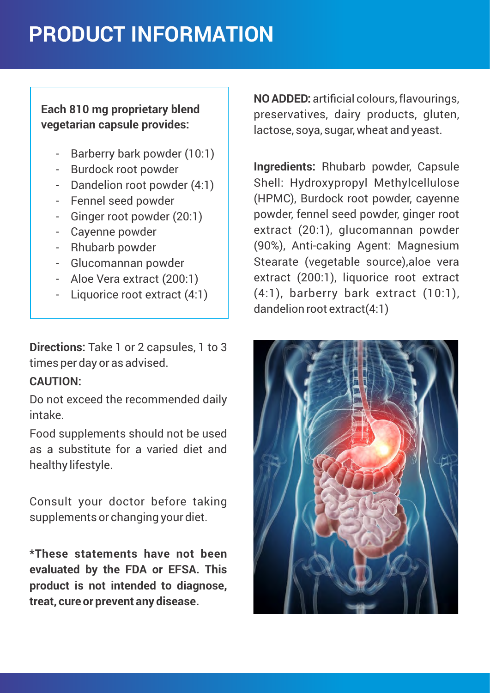### **PRODUCT INFORMATION**

#### **Each 810 mg proprietary blend vegetarian capsule provides:**

- Barberry bark powder (10:1)
- Burdock root powder
- Dandelion root powder (4:1)
- Fennel seed powder
- Ginger root powder (20:1)
- Cayenne powder
- Rhubarb powder
- Glucomannan powder
- Aloe Vera extract (200:1)
- Liquorice root extract (4:1)

**Directions:** Take 1 or 2 capsules, 1 to 3 times per day or as advised.

#### **CAUTION:**

Do not exceed the recommended daily intake.

Food supplements should not be used as a substitute for a varied diet and healthy lifestyle.

Consult your doctor before taking supplements or changing your diet.

**\*These statements have not been evaluated by the FDA or EFSA. This product is not intended to diagnose, treat, cure or prevent any disease.**

**NO ADDED:** artificial colours, flavourings, preservatives, dairy products, gluten, lactose, soya, sugar, wheat and yeast.

**Ingredients:** Rhubarb powder, Capsule Shell: Hydroxypropyl Methylcellulose (HPMC), Burdock root powder, cayenne powder, fennel seed powder, ginger root extract (20:1), glucomannan powder (90%), Anti-caking Agent: Magnesium Stearate (vegetable source),aloe vera extract (200:1), liquorice root extract (4:1), barberry bark extract (10:1), dandelion root extract(4:1)

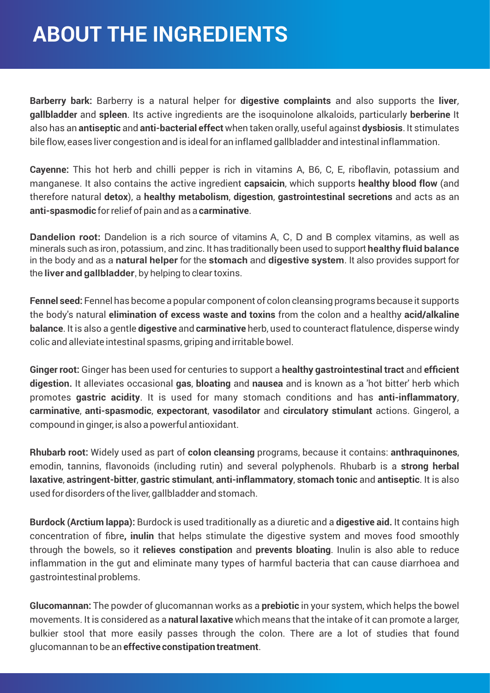### **ABOUT THE INGREDIENTS**

**Barberry bark:** Barberry is a natural helper for **digestive complaints** and also supports the **liver**, **gallbladder** and **spleen**. Its active ingredients are the isoquinolone alkaloids, particularly **berberine** It also has an **antiseptic** and **anti-bacterial effect** when taken orally, useful against **dysbiosis**. It stimulates bile flow, eases liver congestion and is ideal for an inflamed gallbladder and intestinal inflammation.

**Cayenne:** This hot herb and chilli pepper is rich in vitamins A, B6, C, E, riboflavin, potassium and manganese. It also contains the active ingredient **capsaicin**, which supports **healthy blood flow** (and therefore natural **detox**), a **healthy metabolism**, **digestion**, **gastrointestinal secretions** and acts as an **anti-spasmodic** for relief of pain and as a **carminative**.

**Dandelion root:** Dandelion is a rich source of vitamins A, C, D and B complex vitamins, as well as minerals such as iron, potassium, and zinc. It has traditionally been used to support **healthy fluid balance**  in the body and as a **natural helper** for the **stomach** and **digestive system**. It also provides support for the **liver and gallbladder**, by helping to clear toxins.

**Fennel seed:** Fennel has become a popular component of colon cleansing programs because it supports the body's natural **elimination of excess waste and toxins** from the colon and a healthy **acid/alkaline balance**. It is also a gentle **digestive** and **carminative** herb, used to counteract flatulence, disperse windy colic and alleviate intestinal spasms, griping and irritable bowel.

**Ginger root:** Ginger has been used for centuries to support a **healthy gastrointestinal tract** and **efficient digestion.** It alleviates occasional **gas**, **bloating** and **nausea** and is known as a 'hot bitter' herb which promotes **gastric acidity**. It is used for many stomach conditions and has **anti-inflammatory**, **carminative**, **anti-spasmodic**, **expectorant**, **vasodilator** and **circulatory stimulant** actions. Gingerol, a compound in ginger, is also a powerful antioxidant.

**Rhubarb root:** Widely used as part of **colon cleansing** programs, because it contains: **anthraquinones**, emodin, tannins, flavonoids (including rutin) and several polyphenols. Rhubarb is a **strong herbal laxative**, **astringent-bitter**, **gastric stimulant**, **anti-inflammatory**, **stomach tonic** and **antiseptic**. It is also used for disorders of the liver, gallbladder and stomach.

**Burdock (Arctium lappa):** Burdock is used traditionally as a diuretic and a **digestive aid.** It contains high concentration of fibre**, inulin** that helps stimulate the digestive system and moves food smoothly through the bowels, so it **relieves constipation** and **prevents bloating**. Inulin is also able to reduce inflammation in the gut and eliminate many types of harmful bacteria that can cause diarrhoea and gastrointestinal problems.

**Glucomannan:** The powder of glucomannan works as a **prebiotic** in your system, which helps the bowel movements. It is considered as a **natural laxative** which means that the intake of it can promote a larger, bulkier stool that more easily passes through the colon. There are a lot of studies that found glucomannan to be an **effective constipation treatment**.